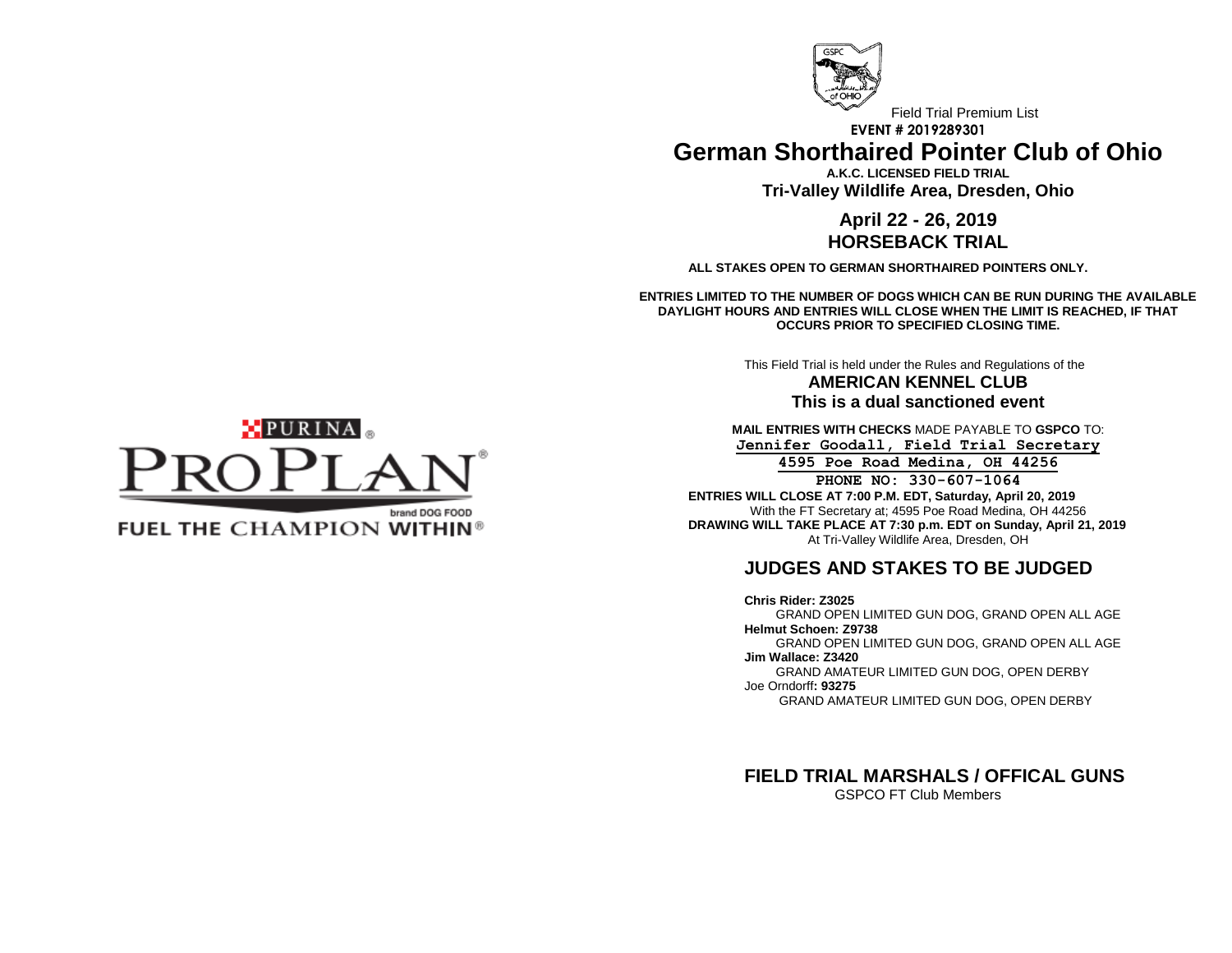

Field Trial Premium List **EVENT # 2019289301 German Shorthaired Pointer Club of Ohio**

> **A.K.C. LICENSED FIELD TRIAL Tri-Valley Wildlife Area, Dresden, Ohio**

## **April 22 - 26, 2019 HORSEBACK TRIAL**

**ALL STAKES OPEN TO GERMAN SHORTHAIRED POINTERS ONLY.**

**ENTRIES LIMITED TO THE NUMBER OF DOGS WHICH CAN BE RUN DURING THE AVAILABLE DAYLIGHT HOURS AND ENTRIES WILL CLOSE WHEN THE LIMIT IS REACHED, IF THAT OCCURS PRIOR TO SPECIFIED CLOSING TIME.**

> This Field Trial is held under the Rules and Regulations of the **AMERICAN KENNEL CLUB**

> > **This is a dual sanctioned event**

**MAIL ENTRIES WITH CHECKS** MADE PAYABLE TO **GSPCO** TO: **Jennifer Goodall, Field Trial Secretary**

**4595 Poe Road Medina, OH 44256 PHONE NO: 330-607-1064 ENTRIES WILL CLOSE AT 7:00 P.M. EDT, Saturday, April 20, 2019** With the FT Secretary at; 4595 Poe Road Medina, OH 44256 **DRAWING WILL TAKE PLACE AT 7:30 p.m. EDT on Sunday, April 21, 2019** At Tri-Valley Wildlife Area, Dresden, OH

# **JUDGES AND STAKES TO BE JUDGED**

**Chris Rider: Z3025**  GRAND OPEN LIMITED GUN DOG, GRAND OPEN ALL AGE **Helmut Schoen: Z9738** GRAND OPEN LIMITED GUN DOG, GRAND OPEN ALL AGE **Jim Wallace: Z3420** GRAND AMATEUR LIMITED GUN DOG, OPEN DERBY Joe Orndorff**: 93275**

GRAND AMATEUR LIMITED GUN DOG, OPEN DERBY

**FIELD TRIAL MARSHALS / OFFICAL GUNS** GSPCO FT Club Members